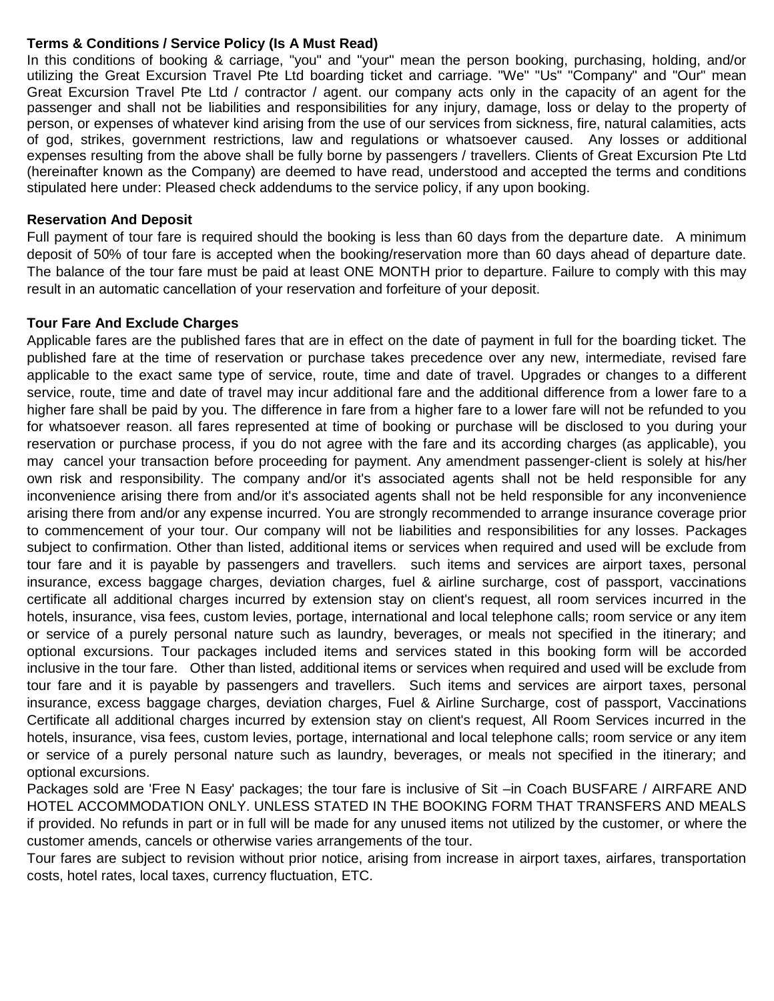## **Terms & Conditions / Service Policy (Is A Must Read)**

In this conditions of booking & carriage, "you" and "your" mean the person booking, purchasing, holding, and/or utilizing the Great Excursion Travel Pte Ltd boarding ticket and carriage. "We" "Us" "Company" and "Our" mean Great Excursion Travel Pte Ltd / contractor / agent. our company acts only in the capacity of an agent for the passenger and shall not be liabilities and responsibilities for any injury, damage, loss or delay to the property of person, or expenses of whatever kind arising from the use of our services from sickness, fire, natural calamities, acts of god, strikes, government restrictions, law and regulations or whatsoever caused. Any losses or additional expenses resulting from the above shall be fully borne by passengers / travellers. Clients of Great Excursion Pte Ltd (hereinafter known as the Company) are deemed to have read, understood and accepted the terms and conditions stipulated here under: Pleased check addendums to the service policy, if any upon booking.

### **Reservation And Deposit**

Full payment of tour fare is required should the booking is less than 60 days from the departure date. A minimum deposit of 50% of tour fare is accepted when the booking/reservation more than 60 days ahead of departure date. The balance of the tour fare must be paid at least ONE MONTH prior to departure. Failure to comply with this may result in an automatic cancellation of your reservation and forfeiture of your deposit.

### **Tour Fare And Exclude Charges**

Applicable fares are the published fares that are in effect on the date of payment in full for the boarding ticket. The published fare at the time of reservation or purchase takes precedence over any new, intermediate, revised fare applicable to the exact same type of service, route, time and date of travel. Upgrades or changes to a different service, route, time and date of travel may incur additional fare and the additional difference from a lower fare to a higher fare shall be paid by you. The difference in fare from a higher fare to a lower fare will not be refunded to you for whatsoever reason. all fares represented at time of booking or purchase will be disclosed to you during your reservation or purchase process, if you do not agree with the fare and its according charges (as applicable), you may cancel your transaction before proceeding for payment. Any amendment passenger-client is solely at his/her own risk and responsibility. The company and/or it's associated agents shall not be held responsible for any inconvenience arising there from and/or it's associated agents shall not be held responsible for any inconvenience arising there from and/or any expense incurred. You are strongly recommended to arrange insurance coverage prior to commencement of your tour. Our company will not be liabilities and responsibilities for any losses. Packages subject to confirmation. Other than listed, additional items or services when required and used will be exclude from tour fare and it is payable by passengers and travellers. such items and services are airport taxes, personal insurance, excess baggage charges, deviation charges, fuel & airline surcharge, cost of passport, vaccinations certificate all additional charges incurred by extension stay on client's request, all room services incurred in the hotels, insurance, visa fees, custom levies, portage, international and local telephone calls; room service or any item or service of a purely personal nature such as laundry, beverages, or meals not specified in the itinerary; and optional excursions. Tour packages included items and services stated in this booking form will be accorded inclusive in the tour fare. Other than listed, additional items or services when required and used will be exclude from tour fare and it is payable by passengers and travellers. Such items and services are airport taxes, personal insurance, excess baggage charges, deviation charges, Fuel & Airline Surcharge, cost of passport, Vaccinations Certificate all additional charges incurred by extension stay on client's request, All Room Services incurred in the hotels, insurance, visa fees, custom levies, portage, international and local telephone calls; room service or any item or service of a purely personal nature such as laundry, beverages, or meals not specified in the itinerary; and optional excursions.

Packages sold are 'Free N Easy' packages; the tour fare is inclusive of Sit –in Coach BUSFARE / AIRFARE AND HOTEL ACCOMMODATION ONLY. UNLESS STATED IN THE BOOKING FORM THAT TRANSFERS AND MEALS if provided. No refunds in part or in full will be made for any unused items not utilized by the customer, or where the customer amends, cancels or otherwise varies arrangements of the tour.

Tour fares are subject to revision without prior notice, arising from increase in airport taxes, airfares, transportation costs, hotel rates, local taxes, currency fluctuation, ETC.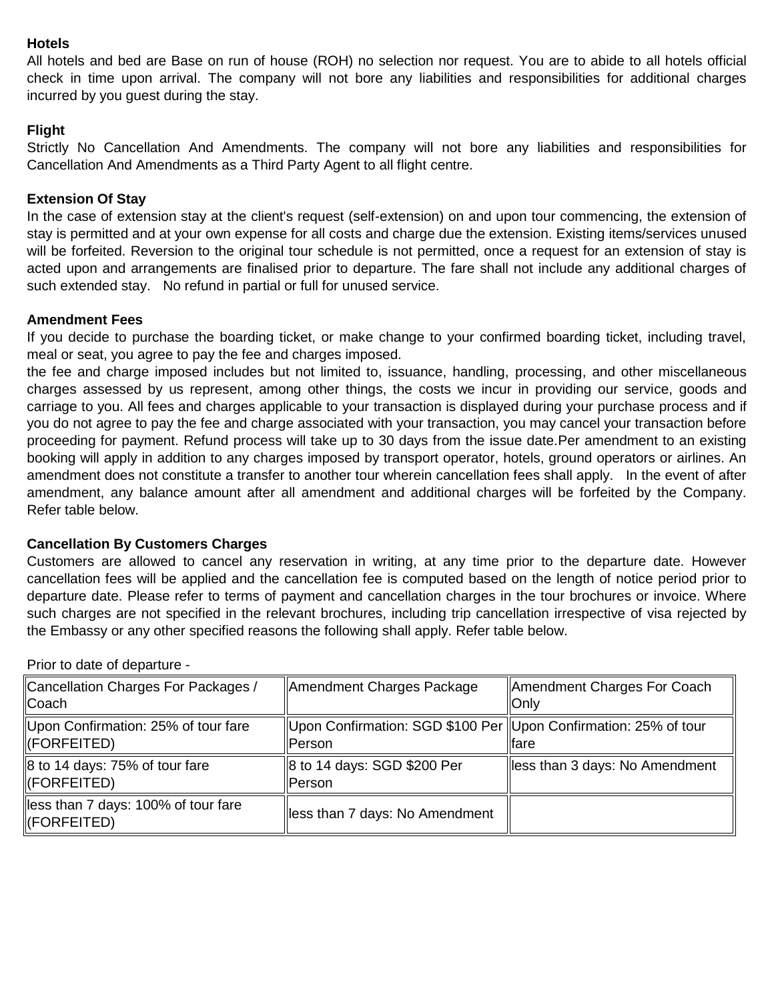## **Hotels**

All hotels and bed are Base on run of house (ROH) no selection nor request. You are to abide to all hotels official check in time upon arrival. The company will not bore any liabilities and responsibilities for additional charges incurred by you guest during the stay.

## **Flight**

Strictly No Cancellation And Amendments. The company will not bore any liabilities and responsibilities for Cancellation And Amendments as a Third Party Agent to all flight centre.

## **Extension Of Stay**

In the case of extension stay at the client's request (self-extension) on and upon tour commencing, the extension of stay is permitted and at your own expense for all costs and charge due the extension. Existing items/services unused will be forfeited. Reversion to the original tour schedule is not permitted, once a request for an extension of stay is acted upon and arrangements are finalised prior to departure. The fare shall not include any additional charges of such extended stay. No refund in partial or full for unused service.

### **Amendment Fees**

If you decide to purchase the boarding ticket, or make change to your confirmed boarding ticket, including travel, meal or seat, you agree to pay the fee and charges imposed.

the fee and charge imposed includes but not limited to, issuance, handling, processing, and other miscellaneous charges assessed by us represent, among other things, the costs we incur in providing our service, goods and carriage to you. All fees and charges applicable to your transaction is displayed during your purchase process and if you do not agree to pay the fee and charge associated with your transaction, you may cancel your transaction before proceeding for payment. Refund process will take up to 30 days from the issue date.Per amendment to an existing booking will apply in addition to any charges imposed by transport operator, hotels, ground operators or airlines. An amendment does not constitute a transfer to another tour wherein cancellation fees shall apply. In the event of after amendment, any balance amount after all amendment and additional charges will be forfeited by the Company. Refer table below.

### **Cancellation By Customers Charges**

Customers are allowed to cancel any reservation in writing, at any time prior to the departure date. However cancellation fees will be applied and the cancellation fee is computed based on the length of notice period prior to departure date. Please refer to terms of payment and cancellation charges in the tour brochures or invoice. Where such charges are not specified in the relevant brochures, including trip cancellation irrespective of visa rejected by the Embassy or any other specified reasons the following shall apply. Refer table below.

| Cancellation Charges For Packages /<br>Coach       | Amendment Charges Package                                                    | Amendment Charges For Coach<br><b>Only</b> |
|----------------------------------------------------|------------------------------------------------------------------------------|--------------------------------------------|
| Upon Confirmation: 25% of tour fare<br>(FORFEITED) | Upon Confirmation: SGD \$100 Per   Upon Confirmation: 25% of tour<br>lPerson | llfare                                     |
| 8 to 14 days: 75% of tour fare<br>(FORFEITED)      | 8 to 14 days: SGD \$200 Per<br>Person                                        | lless than 3 days: No Amendment            |
| less than 7 days: 100% of tour fare<br>(FORFEITED) | less than 7 days: No Amendment                                               |                                            |

Prior to date of departure -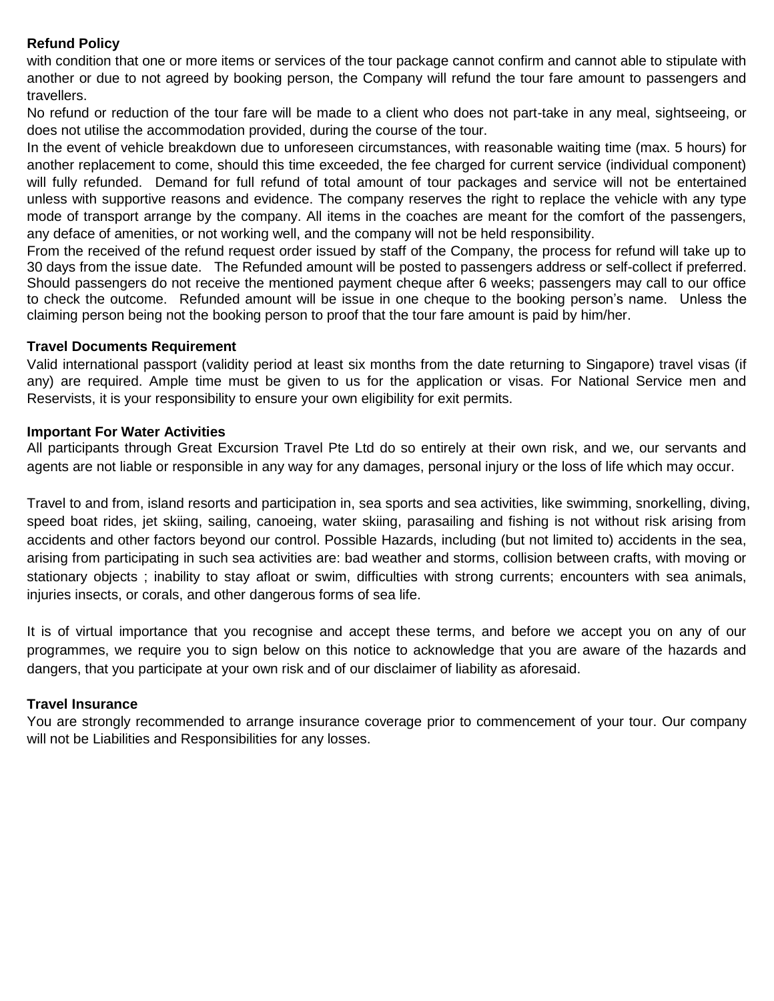# **Refund Policy**

with condition that one or more items or services of the tour package cannot confirm and cannot able to stipulate with another or due to not agreed by booking person, the Company will refund the tour fare amount to passengers and travellers.

No refund or reduction of the tour fare will be made to a client who does not part-take in any meal, sightseeing, or does not utilise the accommodation provided, during the course of the tour.

In the event of vehicle breakdown due to unforeseen circumstances, with reasonable waiting time (max. 5 hours) for another replacement to come, should this time exceeded, the fee charged for current service (individual component) will fully refunded. Demand for full refund of total amount of tour packages and service will not be entertained unless with supportive reasons and evidence. The company reserves the right to replace the vehicle with any type mode of transport arrange by the company. All items in the coaches are meant for the comfort of the passengers, any deface of amenities, or not working well, and the company will not be held responsibility.

From the received of the refund request order issued by staff of the Company, the process for refund will take up to 30 days from the issue date. The Refunded amount will be posted to passengers address or self-collect if preferred. Should passengers do not receive the mentioned payment cheque after 6 weeks; passengers may call to our office to check the outcome. Refunded amount will be issue in one cheque to the booking person's name. Unless the claiming person being not the booking person to proof that the tour fare amount is paid by him/her.

### **Travel Documents Requirement**

Valid international passport (validity period at least six months from the date returning to Singapore) travel visas (if any) are required. Ample time must be given to us for the application or visas. For National Service men and Reservists, it is your responsibility to ensure your own eligibility for exit permits.

### **Important For Water Activities**

All participants through Great Excursion Travel Pte Ltd do so entirely at their own risk, and we, our servants and agents are not liable or responsible in any way for any damages, personal injury or the loss of life which may occur.

Travel to and from, island resorts and participation in, sea sports and sea activities, like swimming, snorkelling, diving, speed boat rides, jet skiing, sailing, canoeing, water skiing, parasailing and fishing is not without risk arising from accidents and other factors beyond our control. Possible Hazards, including (but not limited to) accidents in the sea, arising from participating in such sea activities are: bad weather and storms, collision between crafts, with moving or stationary objects ; inability to stay afloat or swim, difficulties with strong currents; encounters with sea animals, injuries insects, or corals, and other dangerous forms of sea life.

It is of virtual importance that you recognise and accept these terms, and before we accept you on any of our programmes, we require you to sign below on this notice to acknowledge that you are aware of the hazards and dangers, that you participate at your own risk and of our disclaimer of liability as aforesaid.

## **Travel Insurance**

You are strongly recommended to arrange insurance coverage prior to commencement of your tour. Our company will not be Liabilities and Responsibilities for any losses.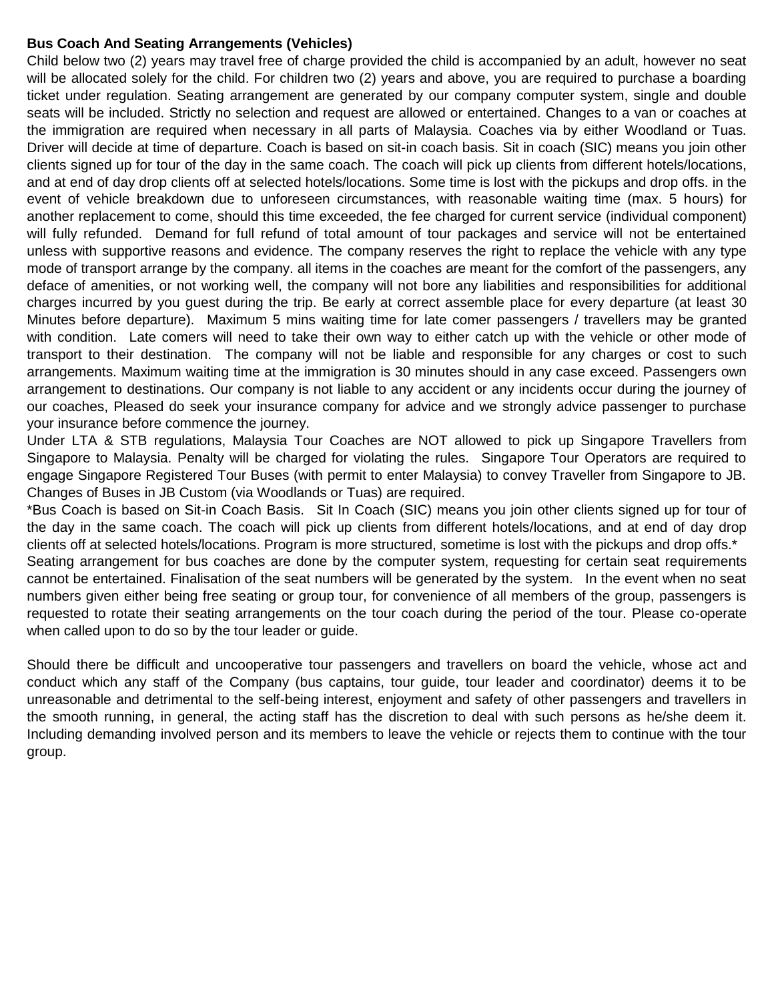## **Bus Coach And Seating Arrangements (Vehicles)**

Child below two (2) years may travel free of charge provided the child is accompanied by an adult, however no seat will be allocated solely for the child. For children two (2) years and above, you are required to purchase a boarding ticket under regulation. Seating arrangement are generated by our company computer system, single and double seats will be included. Strictly no selection and request are allowed or entertained. Changes to a van or coaches at the immigration are required when necessary in all parts of Malaysia. Coaches via by either Woodland or Tuas. Driver will decide at time of departure. Coach is based on sit-in coach basis. Sit in coach (SIC) means you join other clients signed up for tour of the day in the same coach. The coach will pick up clients from different hotels/locations, and at end of day drop clients off at selected hotels/locations. Some time is lost with the pickups and drop offs. in the event of vehicle breakdown due to unforeseen circumstances, with reasonable waiting time (max. 5 hours) for another replacement to come, should this time exceeded, the fee charged for current service (individual component) will fully refunded. Demand for full refund of total amount of tour packages and service will not be entertained unless with supportive reasons and evidence. The company reserves the right to replace the vehicle with any type mode of transport arrange by the company. all items in the coaches are meant for the comfort of the passengers, any deface of amenities, or not working well, the company will not bore any liabilities and responsibilities for additional charges incurred by you guest during the trip. Be early at correct assemble place for every departure (at least 30 Minutes before departure). Maximum 5 mins waiting time for late comer passengers / travellers may be granted with condition. Late comers will need to take their own way to either catch up with the vehicle or other mode of transport to their destination. The company will not be liable and responsible for any charges or cost to such arrangements. Maximum waiting time at the immigration is 30 minutes should in any case exceed. Passengers own arrangement to destinations. Our company is not liable to any accident or any incidents occur during the journey of our coaches, Pleased do seek your insurance company for advice and we strongly advice passenger to purchase your insurance before commence the journey.

Under LTA & STB regulations, Malaysia Tour Coaches are NOT allowed to pick up Singapore Travellers from Singapore to Malaysia. Penalty will be charged for violating the rules. Singapore Tour Operators are required to engage Singapore Registered Tour Buses (with permit to enter Malaysia) to convey Traveller from Singapore to JB. Changes of Buses in JB Custom (via Woodlands or Tuas) are required.

\*Bus Coach is based on Sit-in Coach Basis. Sit In Coach (SIC) means you join other clients signed up for tour of the day in the same coach. The coach will pick up clients from different hotels/locations, and at end of day drop clients off at selected hotels/locations. Program is more structured, sometime is lost with the pickups and drop offs.\*

Seating arrangement for bus coaches are done by the computer system, requesting for certain seat requirements cannot be entertained. Finalisation of the seat numbers will be generated by the system. In the event when no seat numbers given either being free seating or group tour, for convenience of all members of the group, passengers is requested to rotate their seating arrangements on the tour coach during the period of the tour. Please co-operate when called upon to do so by the tour leader or guide.

Should there be difficult and uncooperative tour passengers and travellers on board the vehicle, whose act and conduct which any staff of the Company (bus captains, tour guide, tour leader and coordinator) deems it to be unreasonable and detrimental to the self-being interest, enjoyment and safety of other passengers and travellers in the smooth running, in general, the acting staff has the discretion to deal with such persons as he/she deem it. Including demanding involved person and its members to leave the vehicle or rejects them to continue with the tour group.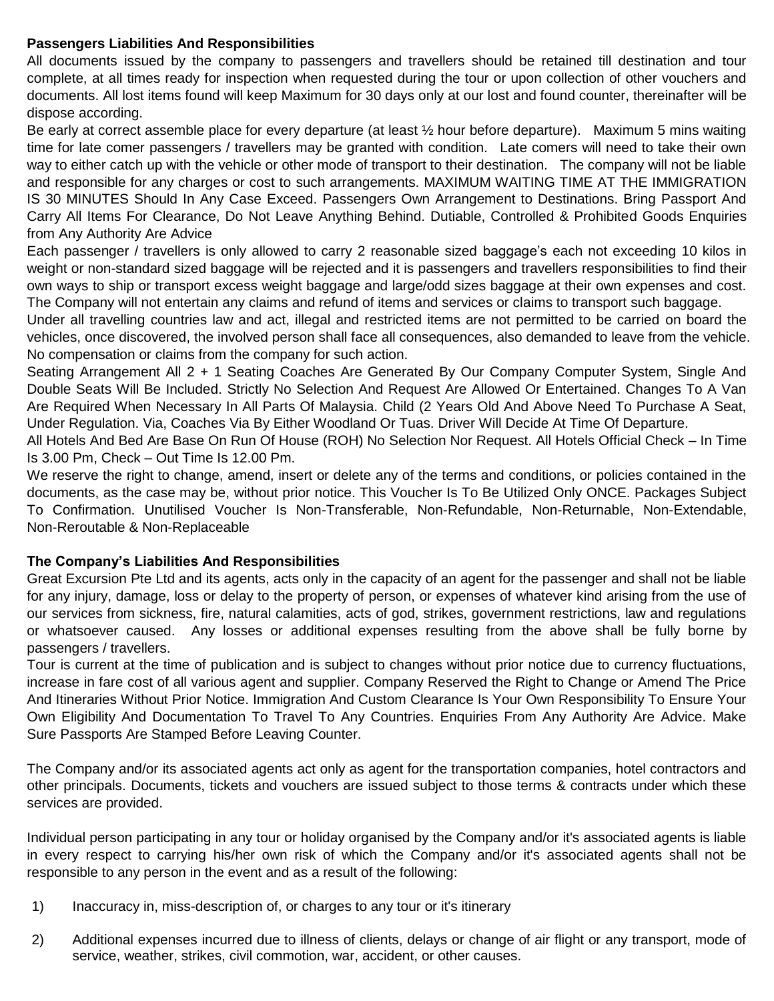## **Passengers Liabilities And Responsibilities**

All documents issued by the company to passengers and travellers should be retained till destination and tour complete, at all times ready for inspection when requested during the tour or upon collection of other vouchers and documents. All lost items found will keep Maximum for 30 days only at our lost and found counter, thereinafter will be dispose according.

Be early at correct assemble place for every departure (at least ½ hour before departure). Maximum 5 mins waiting time for late comer passengers / travellers may be granted with condition. Late comers will need to take their own way to either catch up with the vehicle or other mode of transport to their destination. The company will not be liable and responsible for any charges or cost to such arrangements. MAXIMUM WAITING TIME AT THE IMMIGRATION IS 30 MINUTES Should In Any Case Exceed. Passengers Own Arrangement to Destinations. Bring Passport And Carry All Items For Clearance, Do Not Leave Anything Behind. Dutiable, Controlled & Prohibited Goods Enquiries from Any Authority Are Advice

Each passenger / travellers is only allowed to carry 2 reasonable sized baggage's each not exceeding 10 kilos in weight or non-standard sized baggage will be rejected and it is passengers and travellers responsibilities to find their own ways to ship or transport excess weight baggage and large/odd sizes baggage at their own expenses and cost. The Company will not entertain any claims and refund of items and services or claims to transport such baggage.

Under all travelling countries law and act, illegal and restricted items are not permitted to be carried on board the vehicles, once discovered, the involved person shall face all consequences, also demanded to leave from the vehicle. No compensation or claims from the company for such action.

Seating Arrangement All 2 + 1 Seating Coaches Are Generated By Our Company Computer System, Single And Double Seats Will Be Included. Strictly No Selection And Request Are Allowed Or Entertained. Changes To A Van Are Required When Necessary In All Parts Of Malaysia. Child (2 Years Old And Above Need To Purchase A Seat, Under Regulation. Via, Coaches Via By Either Woodland Or Tuas. Driver Will Decide At Time Of Departure.

All Hotels And Bed Are Base On Run Of House (ROH) No Selection Nor Request. All Hotels Official Check – In Time Is 3.00 Pm, Check – Out Time Is 12.00 Pm.

We reserve the right to change, amend, insert or delete any of the terms and conditions, or policies contained in the documents, as the case may be, without prior notice. This Voucher Is To Be Utilized Only ONCE. Packages Subject To Confirmation. Unutilised Voucher Is Non-Transferable, Non-Refundable, Non-Returnable, Non-Extendable, Non-Reroutable & Non-Replaceable

## **The Company's Liabilities And Responsibilities**

Great Excursion Pte Ltd and its agents, acts only in the capacity of an agent for the passenger and shall not be liable for any injury, damage, loss or delay to the property of person, or expenses of whatever kind arising from the use of our services from sickness, fire, natural calamities, acts of god, strikes, government restrictions, law and regulations or whatsoever caused. Any losses or additional expenses resulting from the above shall be fully borne by passengers / travellers.

Tour is current at the time of publication and is subject to changes without prior notice due to currency fluctuations, increase in fare cost of all various agent and supplier. Company Reserved the Right to Change or Amend The Price And Itineraries Without Prior Notice. Immigration And Custom Clearance Is Your Own Responsibility To Ensure Your Own Eligibility And Documentation To Travel To Any Countries. Enquiries From Any Authority Are Advice. Make Sure Passports Are Stamped Before Leaving Counter.

The Company and/or its associated agents act only as agent for the transportation companies, hotel contractors and other principals. Documents, tickets and vouchers are issued subject to those terms & contracts under which these services are provided.

Individual person participating in any tour or holiday organised by the Company and/or it's associated agents is liable in every respect to carrying his/her own risk of which the Company and/or it's associated agents shall not be responsible to any person in the event and as a result of the following:

- 1) Inaccuracy in, miss-description of, or charges to any tour or it's itinerary
- 2) Additional expenses incurred due to illness of clients, delays or change of air flight or any transport, mode of service, weather, strikes, civil commotion, war, accident, or other causes.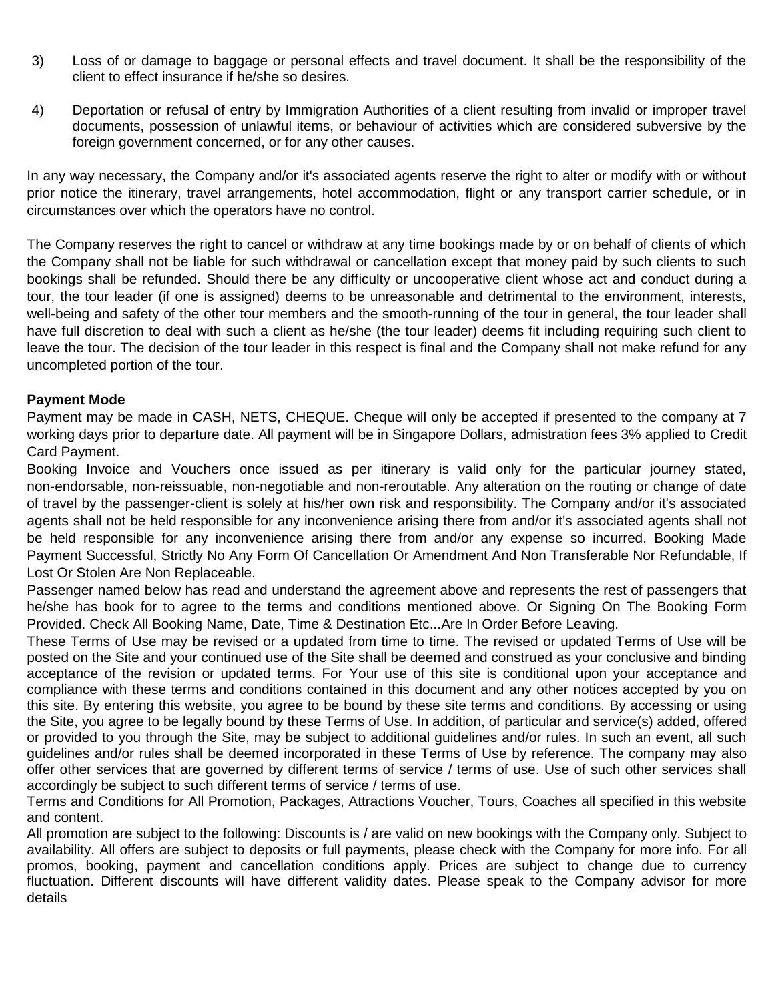- 3) Loss of or damage to baggage or personal effects and travel document. It shall be the responsibility of the client to effect insurance if he/she so desires.
- 4) Deportation or refusal of entry by Immigration Authorities of a client resulting from invalid or improper travel documents, possession of unlawful items, or behaviour of activities which are considered subversive by the foreign government concerned, or for any other causes.

In any way necessary, the Company and/or it's associated agents reserve the right to alter or modify with or without prior notice the itinerary, travel arrangements, hotel accommodation, flight or any transport carrier schedule, or in circumstances over which the operators have no control.

The Company reserves the right to cancel or withdraw at any time bookings made by or on behalf of clients of which the Company shall not be liable for such withdrawal or cancellation except that money paid by such clients to such bookings shall be refunded. Should there be any difficulty or uncooperative client whose act and conduct during a tour, the tour leader (if one is assigned) deems to be unreasonable and detrimental to the environment, interests, well-being and safety of the other tour members and the smooth-running of the tour in general, the tour leader shall have full discretion to deal with such a client as he/she (the tour leader) deems fit including requiring such client to leave the tour. The decision of the tour leader in this respect is final and the Company shall not make refund for any uncompleted portion of the tour.

## **Payment Mode**

Payment may be made in CASH, NETS, CHEQUE. Cheque will only be accepted if presented to the company at 7 working days prior to departure date. All payment will be in Singapore Dollars, admistration fees 3% applied to Credit Card Payment.

Booking Invoice and Vouchers once issued as per itinerary is valid only for the particular journey stated, non-endorsable, non-reissuable, non-negotiable and non-reroutable. Any alteration on the routing or change of date of travel by the passenger-client is solely at his/her own risk and responsibility. The Company and/or it's associated agents shall not be held responsible for any inconvenience arising there from and/or it's associated agents shall not be held responsible for any inconvenience arising there from and/or any expense so incurred. Booking Made Payment Successful, Strictly No Any Form Of Cancellation Or Amendment And Non Transferable Nor Refundable, If Lost Or Stolen Are Non Replaceable.

Passenger named below has read and understand the agreement above and represents the rest of passengers that he/she has book for to agree to the terms and conditions mentioned above. Or Signing On The Booking Form Provided. Check All Booking Name, Date, Time & Destination Etc...Are In Order Before Leaving.

These Terms of Use may be revised or a updated from time to time. The revised or updated Terms of Use will be posted on the Site and your continued use of the Site shall be deemed and construed as your conclusive and binding acceptance of the revision or updated terms. For Your use of this site is conditional upon your acceptance and compliance with these terms and conditions contained in this document and any other notices accepted by you on this site. By entering this website, you agree to be bound by these site terms and conditions. By accessing or using the Site, you agree to be legally bound by these Terms of Use. In addition, of particular and service(s) added, offered or provided to you through the Site, may be subject to additional guidelines and/or rules. In such an event, all such guidelines and/or rules shall be deemed incorporated in these Terms of Use by reference. The company may also offer other services that are governed by different terms of service / terms of use. Use of such other services shall accordingly be subject to such different terms of service / terms of use.

Terms and Conditions for All Promotion, Packages, Attractions Voucher, Tours, Coaches all specified in this website and content.

All promotion are subject to the following: Discounts is / are valid on new bookings with the Company only. Subject to availability. All offers are subject to deposits or full payments, please check with the Company for more info. For all promos, booking, payment and cancellation conditions apply. Prices are subject to change due to currency fluctuation. Different discounts will have different validity dates. Please speak to the Company advisor for more details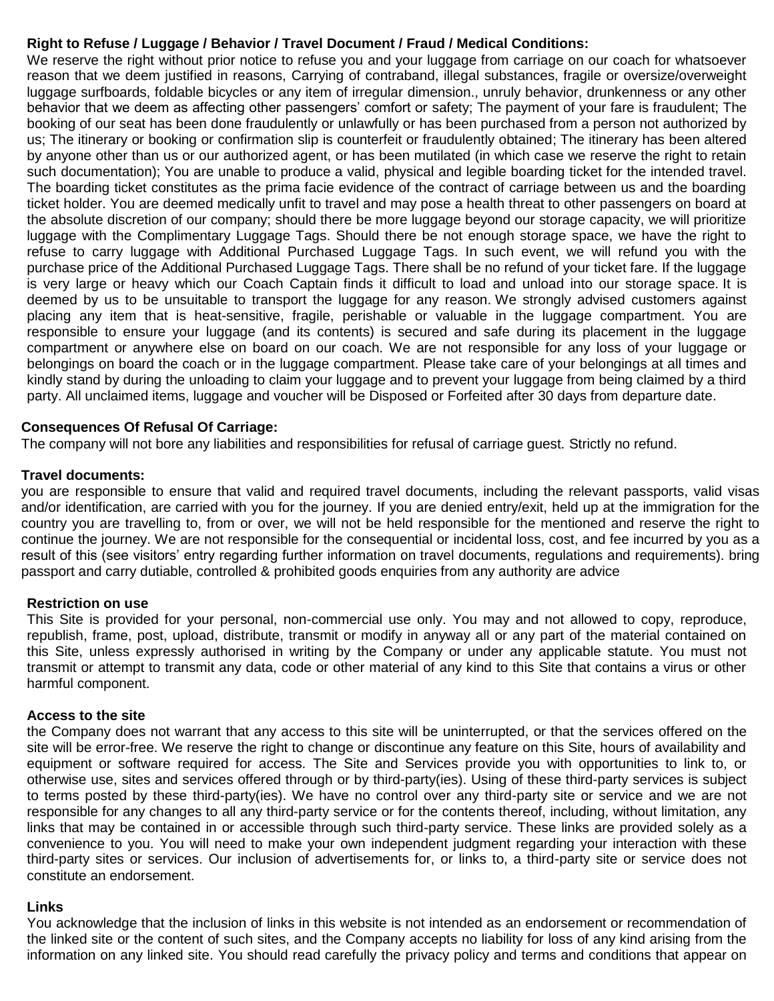## **Right to Refuse / Luggage / Behavior / Travel Document / Fraud / Medical Conditions:**

We reserve the right without prior notice to refuse you and your luggage from carriage on our coach for whatsoever reason that we deem justified in reasons, Carrying of contraband, illegal substances, fragile or oversize/overweight luggage surfboards, foldable bicycles or any item of irregular dimension., unruly behavior, drunkenness or any other behavior that we deem as affecting other passengers' comfort or safety; The payment of your fare is fraudulent; The booking of our seat has been done fraudulently or unlawfully or has been purchased from a person not authorized by us; The itinerary or booking or confirmation slip is counterfeit or fraudulently obtained; The itinerary has been altered by anyone other than us or our authorized agent, or has been mutilated (in which case we reserve the right to retain such documentation); You are unable to produce a valid, physical and legible boarding ticket for the intended travel. The boarding ticket constitutes as the prima facie evidence of the contract of carriage between us and the boarding ticket holder. You are deemed medically unfit to travel and may pose a health threat to other passengers on board at the absolute discretion of our company; should there be more luggage beyond our storage capacity, we will prioritize luggage with the Complimentary Luggage Tags. Should there be not enough storage space, we have the right to refuse to carry luggage with Additional Purchased Luggage Tags. In such event, we will refund you with the purchase price of the Additional Purchased Luggage Tags. There shall be no refund of your ticket fare. If the luggage is very large or heavy which our Coach Captain finds it difficult to load and unload into our storage space. It is deemed by us to be unsuitable to transport the luggage for any reason. We strongly advised customers against placing any item that is heat-sensitive, fragile, perishable or valuable in the luggage compartment. You are responsible to ensure your luggage (and its contents) is secured and safe during its placement in the luggage compartment or anywhere else on board on our coach. We are not responsible for any loss of your luggage or belongings on board the coach or in the luggage compartment. Please take care of your belongings at all times and kindly stand by during the unloading to claim your luggage and to prevent your luggage from being claimed by a third party. All unclaimed items, luggage and voucher will be Disposed or Forfeited after 30 days from departure date.

### **Consequences Of Refusal Of Carriage:**

The company will not bore any liabilities and responsibilities for refusal of carriage guest. Strictly no refund.

### **Travel documents:**

you are responsible to ensure that valid and required travel documents, including the relevant passports, valid visas and/or identification, are carried with you for the journey. If you are denied entry/exit, held up at the immigration for the country you are travelling to, from or over, we will not be held responsible for the mentioned and reserve the right to continue the journey. We are not responsible for the consequential or incidental loss, cost, and fee incurred by you as a result of this (see visitors' entry regarding further information on travel documents, regulations and requirements). bring passport and carry dutiable, controlled & prohibited goods enquiries from any authority are advice

### **Restriction on use**

This Site is provided for your personal, non-commercial use only. You may and not allowed to copy, reproduce, republish, frame, post, upload, distribute, transmit or modify in anyway all or any part of the material contained on this Site, unless expressly authorised in writing by the Company or under any applicable statute. You must not transmit or attempt to transmit any data, code or other material of any kind to this Site that contains a virus or other harmful component.

### **Access to the site**

the Company does not warrant that any access to this site will be uninterrupted, or that the services offered on the site will be error-free. We reserve the right to change or discontinue any feature on this Site, hours of availability and equipment or software required for access. The Site and Services provide you with opportunities to link to, or otherwise use, sites and services offered through or by third-party(ies). Using of these third-party services is subject to terms posted by these third-party(ies). We have no control over any third-party site or service and we are not responsible for any changes to all any third-party service or for the contents thereof, including, without limitation, any links that may be contained in or accessible through such third-party service. These links are provided solely as a convenience to you. You will need to make your own independent judgment regarding your interaction with these third-party sites or services. Our inclusion of advertisements for, or links to, a third-party site or service does not constitute an endorsement.

### **Links**

You acknowledge that the inclusion of links in this website is not intended as an endorsement or recommendation of the linked site or the content of such sites, and the Company accepts no liability for loss of any kind arising from the information on any linked site. You should read carefully the privacy policy and terms and conditions that appear on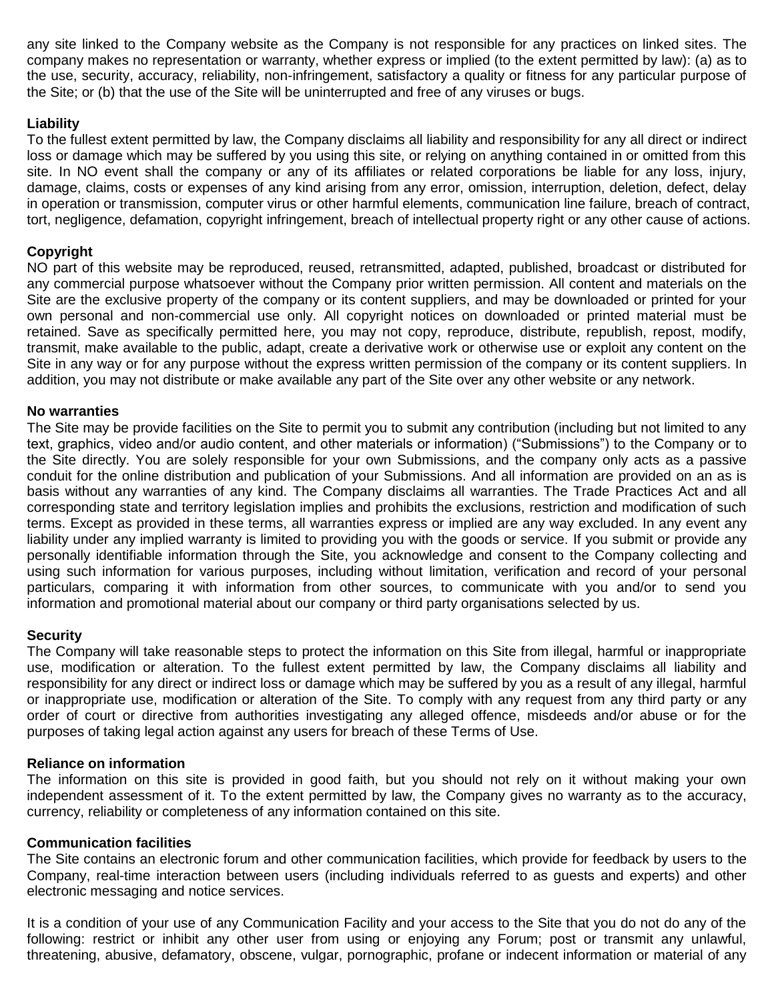any site linked to the Company website as the Company is not responsible for any practices on linked sites. The company makes no representation or warranty, whether express or implied (to the extent permitted by law): (a) as to the use, security, accuracy, reliability, non-infringement, satisfactory a quality or fitness for any particular purpose of the Site; or (b) that the use of the Site will be uninterrupted and free of any viruses or bugs.

## **Liability**

To the fullest extent permitted by law, the Company disclaims all liability and responsibility for any all direct or indirect loss or damage which may be suffered by you using this site, or relying on anything contained in or omitted from this site. In NO event shall the company or any of its affiliates or related corporations be liable for any loss, injury, damage, claims, costs or expenses of any kind arising from any error, omission, interruption, deletion, defect, delay in operation or transmission, computer virus or other harmful elements, communication line failure, breach of contract, tort, negligence, defamation, copyright infringement, breach of intellectual property right or any other cause of actions.

### **Copyright**

NO part of this website may be reproduced, reused, retransmitted, adapted, published, broadcast or distributed for any commercial purpose whatsoever without the Company prior written permission. All content and materials on the Site are the exclusive property of the company or its content suppliers, and may be downloaded or printed for your own personal and non-commercial use only. All copyright notices on downloaded or printed material must be retained. Save as specifically permitted here, you may not copy, reproduce, distribute, republish, repost, modify, transmit, make available to the public, adapt, create a derivative work or otherwise use or exploit any content on the Site in any way or for any purpose without the express written permission of the company or its content suppliers. In addition, you may not distribute or make available any part of the Site over any other website or any network.

### **No warranties**

The Site may be provide facilities on the Site to permit you to submit any contribution (including but not limited to any text, graphics, video and/or audio content, and other materials or information) ("Submissions") to the Company or to the Site directly. You are solely responsible for your own Submissions, and the company only acts as a passive conduit for the online distribution and publication of your Submissions. And all information are provided on an as is basis without any warranties of any kind. The Company disclaims all warranties. The Trade Practices Act and all corresponding state and territory legislation implies and prohibits the exclusions, restriction and modification of such terms. Except as provided in these terms, all warranties express or implied are any way excluded. In any event any liability under any implied warranty is limited to providing you with the goods or service. If you submit or provide any personally identifiable information through the Site, you acknowledge and consent to the Company collecting and using such information for various purposes, including without limitation, verification and record of your personal particulars, comparing it with information from other sources, to communicate with you and/or to send you information and promotional material about our company or third party organisations selected by us.

## **Security**

The Company will take reasonable steps to protect the information on this Site from illegal, harmful or inappropriate use, modification or alteration. To the fullest extent permitted by law, the Company disclaims all liability and responsibility for any direct or indirect loss or damage which may be suffered by you as a result of any illegal, harmful or inappropriate use, modification or alteration of the Site. To comply with any request from any third party or any order of court or directive from authorities investigating any alleged offence, misdeeds and/or abuse or for the purposes of taking legal action against any users for breach of these Terms of Use.

### **Reliance on information**

The information on this site is provided in good faith, but you should not rely on it without making your own independent assessment of it. To the extent permitted by law, the Company gives no warranty as to the accuracy, currency, reliability or completeness of any information contained on this site.

### **Communication facilities**

The Site contains an electronic forum and other communication facilities, which provide for feedback by users to the Company, real-time interaction between users (including individuals referred to as guests and experts) and other electronic messaging and notice services.

It is a condition of your use of any Communication Facility and your access to the Site that you do not do any of the following: restrict or inhibit any other user from using or enjoying any Forum; post or transmit any unlawful, threatening, abusive, defamatory, obscene, vulgar, pornographic, profane or indecent information or material of any